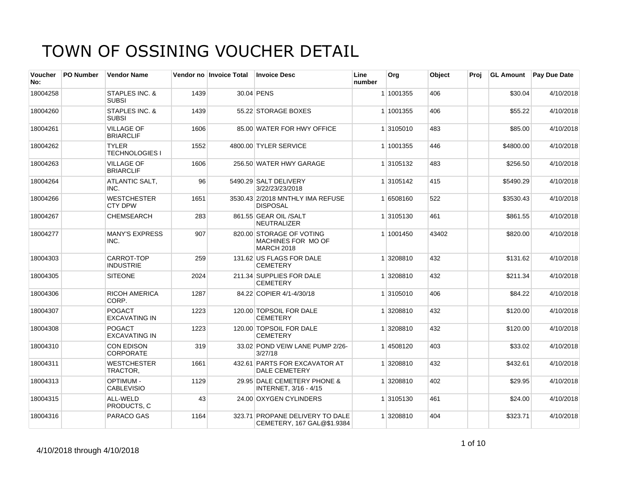| Voucher<br>No: | <b>PO Number</b> | <b>Vendor Name</b>                        |      | Vendor no Invoice Total | <b>Invoice Desc</b>                                                 | Line<br>number | Org       | Object | Proj | <b>GL Amount</b> | <b>Pay Due Date</b> |
|----------------|------------------|-------------------------------------------|------|-------------------------|---------------------------------------------------------------------|----------------|-----------|--------|------|------------------|---------------------|
| 18004258       |                  | STAPLES INC. &<br><b>SUBSI</b>            | 1439 |                         | 30.04 PENS                                                          |                | 1 1001355 | 406    |      | \$30.04          | 4/10/2018           |
| 18004260       |                  | <b>STAPLES INC. &amp;</b><br><b>SUBSI</b> | 1439 |                         | 55.22 STORAGE BOXES                                                 |                | 1 1001355 | 406    |      | \$55.22          | 4/10/2018           |
| 18004261       |                  | <b>VILLAGE OF</b><br><b>BRIARCLIF</b>     | 1606 |                         | 85.00 WATER FOR HWY OFFICE                                          |                | 1 3105010 | 483    |      | \$85.00          | 4/10/2018           |
| 18004262       |                  | <b>TYLER</b><br><b>TECHNOLOGIES I</b>     | 1552 |                         | 4800.00 TYLER SERVICE                                               |                | 1 1001355 | 446    |      | \$4800.00        | 4/10/2018           |
| 18004263       |                  | <b>VILLAGE OF</b><br><b>BRIARCLIF</b>     | 1606 |                         | 256.50 WATER HWY GARAGE                                             |                | 1 3105132 | 483    |      | \$256.50         | 4/10/2018           |
| 18004264       |                  | <b>ATLANTIC SALT.</b><br>INC.             | 96   |                         | 5490.29 SALT DELIVERY<br>3/22/23/23/2018                            |                | 1 3105142 | 415    |      | \$5490.29        | 4/10/2018           |
| 18004266       |                  | <b>WESTCHESTER</b><br><b>CTY DPW</b>      | 1651 |                         | 3530.43 2/2018 MNTHLY IMA REFUSE<br><b>DISPOSAL</b>                 |                | 1 6508160 | 522    |      | \$3530.43        | 4/10/2018           |
| 18004267       |                  | <b>CHEMSEARCH</b>                         | 283  |                         | 861.55 GEAR OIL /SALT<br>NEUTRALIZER                                |                | 1 3105130 | 461    |      | \$861.55         | 4/10/2018           |
| 18004277       |                  | <b>MANY'S EXPRESS</b><br>INC.             | 907  |                         | 820.00 STORAGE OF VOTING<br>MACHINES FOR MO OF<br><b>MARCH 2018</b> |                | 1 1001450 | 43402  |      | \$820.00         | 4/10/2018           |
| 18004303       |                  | CARROT-TOP<br><b>INDUSTRIE</b>            | 259  |                         | 131.62 US FLAGS FOR DALE<br><b>CEMETERY</b>                         |                | 1 3208810 | 432    |      | \$131.62         | 4/10/2018           |
| 18004305       |                  | <b>SITEONE</b>                            | 2024 |                         | 211.34 SUPPLIES FOR DALE<br><b>CEMETERY</b>                         |                | 1 3208810 | 432    |      | \$211.34         | 4/10/2018           |
| 18004306       |                  | <b>RICOH AMERICA</b><br>CORP.             | 1287 |                         | 84.22 COPIER 4/1-4/30/18                                            |                | 1 3105010 | 406    |      | \$84.22          | 4/10/2018           |
| 18004307       |                  | <b>POGACT</b><br><b>EXCAVATING IN</b>     | 1223 |                         | 120.00 TOPSOIL FOR DALE<br><b>CEMETERY</b>                          |                | 1 3208810 | 432    |      | \$120.00         | 4/10/2018           |
| 18004308       |                  | <b>POGACT</b><br><b>EXCAVATING IN</b>     | 1223 |                         | 120.00 TOPSOIL FOR DALE<br><b>CEMETERY</b>                          |                | 1 3208810 | 432    |      | \$120.00         | 4/10/2018           |
| 18004310       |                  | <b>CON EDISON</b><br><b>CORPORATE</b>     | 319  |                         | 33.02 POND VEIW LANE PUMP 2/26-<br>3/27/18                          |                | 14508120  | 403    |      | \$33.02          | 4/10/2018           |
| 18004311       |                  | <b>WESTCHESTER</b><br>TRACTOR,            | 1661 |                         | 432.61 PARTS FOR EXCAVATOR AT<br><b>DALE CEMETERY</b>               |                | 1 3208810 | 432    |      | \$432.61         | 4/10/2018           |
| 18004313       |                  | <b>OPTIMUM-</b><br><b>CABLEVISIO</b>      | 1129 |                         | 29.95 DALE CEMETERY PHONE &<br>INTERNET, 3/16 - 4/15                |                | 1 3208810 | 402    |      | \$29.95          | 4/10/2018           |
| 18004315       |                  | ALL-WELD<br>PRODUCTS, C                   | 43   |                         | 24.00 OXYGEN CYLINDERS                                              |                | 1 3105130 | 461    |      | \$24.00          | 4/10/2018           |
| 18004316       |                  | PARACO GAS                                | 1164 |                         | 323.71 PROPANE DELIVERY TO DALE<br>CEMETERY, 167 GAL@\$1.9384       |                | 1 3208810 | 404    |      | \$323.71         | 4/10/2018           |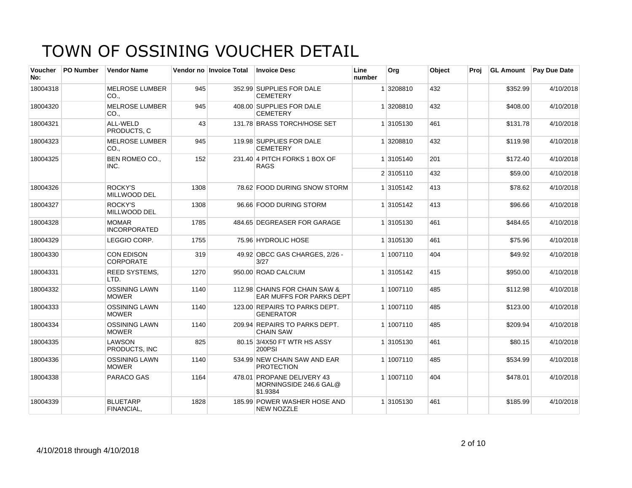| <b>Voucher</b><br>No: | <b>PO Number</b> | <b>Vendor Name</b>                    |      | Vendor no Invoice Total | <b>Invoice Desc</b>                                              | Line<br>number | Org       | Object | Proj | <b>GL Amount</b> | <b>Pay Due Date</b> |
|-----------------------|------------------|---------------------------------------|------|-------------------------|------------------------------------------------------------------|----------------|-----------|--------|------|------------------|---------------------|
| 18004318              |                  | <b>MELROSE LUMBER</b><br>CO.,         | 945  |                         | 352.99 SUPPLIES FOR DALE<br><b>CEMETERY</b>                      |                | 1 3208810 | 432    |      | \$352.99         | 4/10/2018           |
| 18004320              |                  | <b>MELROSE LUMBER</b><br>CO.          | 945  |                         | 408.00 SUPPLIES FOR DALE<br><b>CEMETERY</b>                      |                | 1 3208810 | 432    |      | \$408.00         | 4/10/2018           |
| 18004321              |                  | ALL-WELD<br>PRODUCTS. C               | 43   |                         | 131.78 BRASS TORCH/HOSE SET                                      |                | 1 3105130 | 461    |      | \$131.78         | 4/10/2018           |
| 18004323              |                  | <b>MELROSE LUMBER</b><br>CO.,         | 945  |                         | 119.98 SUPPLIES FOR DALE<br><b>CEMETERY</b>                      |                | 1 3208810 | 432    |      | \$119.98         | 4/10/2018           |
| 18004325              |                  | BEN ROMEO CO.,<br>INC.                | 152  |                         | 231.40 4 PITCH FORKS 1 BOX OF<br><b>RAGS</b>                     |                | 1 3105140 | 201    |      | \$172.40         | 4/10/2018           |
|                       |                  |                                       |      |                         |                                                                  |                | 2 3105110 | 432    |      | \$59.00          | 4/10/2018           |
| 18004326              |                  | ROCKY'S<br>MILLWOOD DEL               | 1308 |                         | 78.62 FOOD DURING SNOW STORM                                     |                | 1 3105142 | 413    |      | \$78.62          | 4/10/2018           |
| 18004327              |                  | ROCKY'S<br><b>MILLWOOD DEL</b>        | 1308 |                         | 96.66 FOOD DURING STORM                                          |                | 1 3105142 | 413    |      | \$96.66          | 4/10/2018           |
| 18004328              |                  | <b>MOMAR</b><br><b>INCORPORATED</b>   | 1785 |                         | 484.65 DEGREASER FOR GARAGE                                      |                | 1 3105130 | 461    |      | \$484.65         | 4/10/2018           |
| 18004329              |                  | LEGGIO CORP.                          | 1755 |                         | 75.96 HYDROLIC HOSE                                              |                | 1 3105130 | 461    |      | \$75.96          | 4/10/2018           |
| 18004330              |                  | <b>CON EDISON</b><br><b>CORPORATE</b> | 319  |                         | 49.92 OBCC GAS CHARGES, 2/26 -<br>3/27                           |                | 1 1007110 | 404    |      | \$49.92          | 4/10/2018           |
| 18004331              |                  | <b>REED SYSTEMS,</b><br>LTD.          | 1270 |                         | 950.00 ROAD CALCIUM                                              |                | 1 3105142 | 415    |      | \$950.00         | 4/10/2018           |
| 18004332              |                  | <b>OSSINING LAWN</b><br><b>MOWER</b>  | 1140 |                         | 112.98 CHAINS FOR CHAIN SAW &<br>EAR MUFFS FOR PARKS DEPT        |                | 1 1007110 | 485    |      | \$112.98         | 4/10/2018           |
| 18004333              |                  | <b>OSSINING LAWN</b><br><b>MOWER</b>  | 1140 |                         | 123.00 REPAIRS TO PARKS DEPT.<br><b>GENERATOR</b>                |                | 1 1007110 | 485    |      | \$123.00         | 4/10/2018           |
| 18004334              |                  | <b>OSSINING LAWN</b><br><b>MOWER</b>  | 1140 |                         | 209.94 REPAIRS TO PARKS DEPT.<br><b>CHAIN SAW</b>                |                | 1 1007110 | 485    |      | \$209.94         | 4/10/2018           |
| 18004335              |                  | <b>LAWSON</b><br>PRODUCTS. INC        | 825  |                         | 80.15 3/4X50 FT WTR HS ASSY<br><b>200PSI</b>                     |                | 1 3105130 | 461    |      | \$80.15          | 4/10/2018           |
| 18004336              |                  | <b>OSSINING LAWN</b><br><b>MOWER</b>  | 1140 |                         | 534.99 NEW CHAIN SAW AND EAR<br><b>PROTECTION</b>                |                | 1 1007110 | 485    |      | \$534.99         | 4/10/2018           |
| 18004338              |                  | <b>PARACO GAS</b>                     | 1164 |                         | 478.01 PROPANE DELIVERY 43<br>MORNINGSIDE 246.6 GAL@<br>\$1.9384 |                | 1 1007110 | 404    |      | \$478.01         | 4/10/2018           |
| 18004339              |                  | <b>BLUETARP</b><br>FINANCIAL,         | 1828 |                         | 185.99 POWER WASHER HOSE AND<br><b>NEW NOZZLE</b>                |                | 1 3105130 | 461    |      | \$185.99         | 4/10/2018           |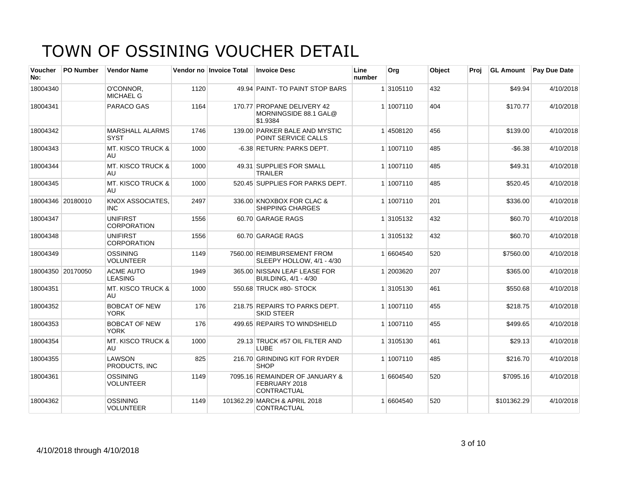| <b>Voucher</b><br>No: | PO Number         | <b>Vendor Name</b>                    |      | Vendor no Invoice Total | <b>Invoice Desc</b>                                             | Line<br>number | Org       | Object | Proj | <b>GL Amount</b> | Pay Due Date |
|-----------------------|-------------------|---------------------------------------|------|-------------------------|-----------------------------------------------------------------|----------------|-----------|--------|------|------------------|--------------|
| 18004340              |                   | O'CONNOR.<br><b>MICHAEL G</b>         | 1120 |                         | 49.94 PAINT-TO PAINT STOP BARS                                  |                | 1 3105110 | 432    |      | \$49.94          | 4/10/2018    |
| 18004341              |                   | PARACO GAS                            | 1164 |                         | 170.77 PROPANE DELIVERY 42<br>MORNINGSIDE 88.1 GAL@<br>\$1.9384 |                | 1 1007110 | 404    |      | \$170.77         | 4/10/2018    |
| 18004342              |                   | <b>MARSHALL ALARMS</b><br><b>SYST</b> | 1746 |                         | 139.00 PARKER BALE AND MYSTIC<br><b>POINT SERVICE CALLS</b>     |                | 14508120  | 456    |      | \$139.00         | 4/10/2018    |
| 18004343              |                   | <b>MT. KISCO TRUCK &amp;</b><br>AU.   | 1000 |                         | -6.38 RETURN: PARKS DEPT.                                       |                | 1 1007110 | 485    |      | $-$6.38$         | 4/10/2018    |
| 18004344              |                   | <b>MT. KISCO TRUCK &amp;</b><br>AU    | 1000 |                         | 49.31 SUPPLIES FOR SMALL<br><b>TRAILER</b>                      |                | 1 1007110 | 485    |      | \$49.31          | 4/10/2018    |
| 18004345              |                   | <b>MT. KISCO TRUCK &amp;</b><br>AU.   | 1000 |                         | 520.45 SUPPLIES FOR PARKS DEPT.                                 |                | 1 1007110 | 485    |      | \$520.45         | 4/10/2018    |
|                       | 18004346 20180010 | KNOX ASSOCIATES.<br><b>INC</b>        | 2497 |                         | 336.00 KNOXBOX FOR CLAC &<br><b>SHIPPING CHARGES</b>            |                | 1 1007110 | 201    |      | \$336.00         | 4/10/2018    |
| 18004347              |                   | <b>UNIFIRST</b><br><b>CORPORATION</b> | 1556 |                         | 60.70 GARAGE RAGS                                               |                | 1 3105132 | 432    |      | \$60.70          | 4/10/2018    |
| 18004348              |                   | <b>UNIFIRST</b><br><b>CORPORATION</b> | 1556 |                         | 60.70 GARAGE RAGS                                               |                | 1 3105132 | 432    |      | \$60.70          | 4/10/2018    |
| 18004349              |                   | <b>OSSINING</b><br><b>VOLUNTEER</b>   | 1149 |                         | 7560.00 REIMBURSEMENT FROM<br>SLEEPY HOLLOW, 4/1 - 4/30         |                | 1 6604540 | 520    |      | \$7560.00        | 4/10/2018    |
|                       | 18004350 20170050 | <b>ACME AUTO</b><br><b>LEASING</b>    | 1949 |                         | 365.00 NISSAN LEAF LEASE FOR<br>BUILDING, 4/1 - 4/30            |                | 1 2003620 | 207    |      | \$365.00         | 4/10/2018    |
| 18004351              |                   | <b>MT. KISCO TRUCK &amp;</b><br>AU    | 1000 |                         | 550.68 TRUCK #80- STOCK                                         |                | 1 3105130 | 461    |      | \$550.68         | 4/10/2018    |
| 18004352              |                   | <b>BOBCAT OF NEW</b><br><b>YORK</b>   | 176  |                         | 218.75 REPAIRS TO PARKS DEPT.<br><b>SKID STEER</b>              |                | 1 1007110 | 455    |      | \$218.75         | 4/10/2018    |
| 18004353              |                   | <b>BOBCAT OF NEW</b><br><b>YORK</b>   | 176  |                         | 499.65 REPAIRS TO WINDSHIELD                                    |                | 1 1007110 | 455    |      | \$499.65         | 4/10/2018    |
| 18004354              |                   | <b>MT. KISCO TRUCK &amp;</b><br>AU.   | 1000 |                         | 29.13 TRUCK #57 OIL FILTER AND<br>LUBE                          |                | 1 3105130 | 461    |      | \$29.13          | 4/10/2018    |
| 18004355              |                   | LAWSON<br>PRODUCTS, INC               | 825  |                         | 216.70 GRINDING KIT FOR RYDER<br><b>SHOP</b>                    |                | 1 1007110 | 485    |      | \$216.70         | 4/10/2018    |
| 18004361              |                   | OSSINING<br><b>VOLUNTEER</b>          | 1149 |                         | 7095.16 REMAINDER OF JANUARY &<br>FEBRUARY 2018<br>CONTRACTUAL  |                | 1 6604540 | 520    |      | \$7095.16        | 4/10/2018    |
| 18004362              |                   | <b>OSSINING</b><br><b>VOLUNTEER</b>   | 1149 |                         | 101362.29 MARCH & APRIL 2018<br>CONTRACTUAL                     |                | 1 6604540 | 520    |      | \$101362.29      | 4/10/2018    |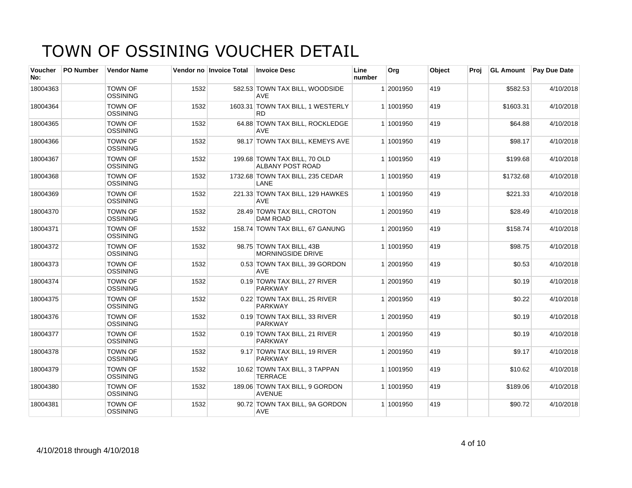| Voucher<br>No: | <b>PO Number</b> | <b>Vendor Name</b>                |      | Vendor no Invoice Total | <b>Invoice Desc</b>                                  | Line<br>number | <b>Org</b> | Object | Proi | <b>GL Amount</b> | <b>Pay Due Date</b> |
|----------------|------------------|-----------------------------------|------|-------------------------|------------------------------------------------------|----------------|------------|--------|------|------------------|---------------------|
| 18004363       |                  | <b>TOWN OF</b><br><b>OSSINING</b> | 1532 |                         | 582.53 TOWN TAX BILL, WOODSIDE<br><b>AVE</b>         |                | 1 2001950  | 419    |      | \$582.53         | 4/10/2018           |
| 18004364       |                  | <b>TOWN OF</b><br><b>OSSINING</b> | 1532 |                         | 1603.31 TOWN TAX BILL, 1 WESTERLY<br><b>RD</b>       |                | 1 1001950  | 419    |      | \$1603.31        | 4/10/2018           |
| 18004365       |                  | <b>TOWN OF</b><br><b>OSSINING</b> | 1532 |                         | 64.88 TOWN TAX BILL, ROCKLEDGE<br>AVE                |                | 1 1001950  | 419    |      | \$64.88          | 4/10/2018           |
| 18004366       |                  | <b>TOWN OF</b><br><b>OSSINING</b> | 1532 |                         | 98.17 TOWN TAX BILL, KEMEYS AVE                      |                | 1 1001950  | 419    |      | \$98.17          | 4/10/2018           |
| 18004367       |                  | <b>TOWN OF</b><br><b>OSSINING</b> | 1532 |                         | 199.68 TOWN TAX BILL, 70 OLD<br>ALBANY POST ROAD     |                | 1 1001950  | 419    |      | \$199.68         | 4/10/2018           |
| 18004368       |                  | <b>TOWN OF</b><br><b>OSSINING</b> | 1532 |                         | 1732.68 TOWN TAX BILL, 235 CEDAR<br>LANE             |                | 1 1001950  | 419    |      | \$1732.68        | 4/10/2018           |
| 18004369       |                  | <b>TOWN OF</b><br><b>OSSINING</b> | 1532 |                         | 221.33 TOWN TAX BILL, 129 HAWKES<br><b>AVE</b>       |                | 1 1001950  | 419    |      | \$221.33         | 4/10/2018           |
| 18004370       |                  | <b>TOWN OF</b><br><b>OSSINING</b> | 1532 |                         | 28.49 TOWN TAX BILL, CROTON<br><b>DAM ROAD</b>       |                | 1 2001950  | 419    |      | \$28.49          | 4/10/2018           |
| 18004371       |                  | <b>TOWN OF</b><br><b>OSSINING</b> | 1532 |                         | 158.74 TOWN TAX BILL, 67 GANUNG                      |                | 1 2001950  | 419    |      | \$158.74         | 4/10/2018           |
| 18004372       |                  | <b>TOWN OF</b><br><b>OSSINING</b> | 1532 |                         | 98.75 TOWN TAX BILL, 43B<br><b>MORNINGSIDE DRIVE</b> |                | 1 1001950  | 419    |      | \$98.75          | 4/10/2018           |
| 18004373       |                  | <b>TOWN OF</b><br><b>OSSINING</b> | 1532 |                         | 0.53 TOWN TAX BILL, 39 GORDON<br><b>AVE</b>          |                | 1 2001950  | 419    |      | \$0.53           | 4/10/2018           |
| 18004374       |                  | <b>TOWN OF</b><br><b>OSSINING</b> | 1532 |                         | 0.19 TOWN TAX BILL, 27 RIVER<br>PARKWAY              |                | 1 2001950  | 419    |      | \$0.19           | 4/10/2018           |
| 18004375       |                  | <b>TOWN OF</b><br><b>OSSINING</b> | 1532 |                         | 0.22 TOWN TAX BILL, 25 RIVER<br><b>PARKWAY</b>       |                | 1 2001950  | 419    |      | \$0.22           | 4/10/2018           |
| 18004376       |                  | <b>TOWN OF</b><br><b>OSSINING</b> | 1532 |                         | 0.19 TOWN TAX BILL, 33 RIVER<br><b>PARKWAY</b>       |                | 1 2001950  | 419    |      | \$0.19           | 4/10/2018           |
| 18004377       |                  | <b>TOWN OF</b><br><b>OSSINING</b> | 1532 |                         | 0.19 TOWN TAX BILL, 21 RIVER<br><b>PARKWAY</b>       |                | 1 2001950  | 419    |      | \$0.19           | 4/10/2018           |
| 18004378       |                  | <b>TOWN OF</b><br><b>OSSINING</b> | 1532 |                         | 9.17 TOWN TAX BILL, 19 RIVER<br><b>PARKWAY</b>       |                | 1 2001950  | 419    |      | \$9.17           | 4/10/2018           |
| 18004379       |                  | <b>TOWN OF</b><br><b>OSSINING</b> | 1532 |                         | 10.62 TOWN TAX BILL, 3 TAPPAN<br><b>TERRACE</b>      |                | 1 1001950  | 419    |      | \$10.62          | 4/10/2018           |
| 18004380       |                  | <b>TOWN OF</b><br><b>OSSINING</b> | 1532 |                         | 189.06 TOWN TAX BILL, 9 GORDON<br><b>AVENUE</b>      |                | 1 1001950  | 419    |      | \$189.06         | 4/10/2018           |
| 18004381       |                  | <b>TOWN OF</b><br><b>OSSINING</b> | 1532 |                         | 90.72 TOWN TAX BILL, 9A GORDON<br>AVE                |                | 1 1001950  | 419    |      | \$90.72          | 4/10/2018           |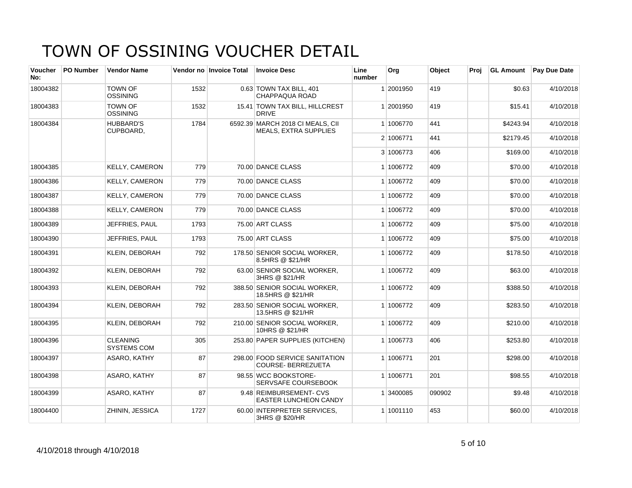| Voucher<br>No: | <b>PO Number</b> | <b>Vendor Name</b>                    |      | Vendor no Invoice Total | <b>Invoice Desc</b>                                              | Line<br>number | Org       | Object | Proj | <b>GL Amount</b> | <b>Pay Due Date</b> |
|----------------|------------------|---------------------------------------|------|-------------------------|------------------------------------------------------------------|----------------|-----------|--------|------|------------------|---------------------|
| 18004382       |                  | <b>TOWN OF</b><br><b>OSSINING</b>     | 1532 |                         | 0.63 TOWN TAX BILL, 401<br>CHAPPAQUA ROAD                        |                | 1 2001950 | 419    |      | \$0.63           | 4/10/2018           |
| 18004383       |                  | <b>TOWN OF</b><br><b>OSSINING</b>     | 1532 |                         | 15.41 TOWN TAX BILL, HILLCREST<br><b>DRIVE</b>                   |                | 1 2001950 | 419    |      | \$15.41          | 4/10/2018           |
| 18004384       |                  | <b>HUBBARD'S</b><br>CUPBOARD,         | 1784 |                         | 6592.39 MARCH 2018 CI MEALS, CII<br><b>MEALS, EXTRA SUPPLIES</b> |                | 1 1006770 | 441    |      | \$4243.94        | 4/10/2018           |
|                |                  |                                       |      |                         |                                                                  |                | 2 1006771 | 441    |      | \$2179.45        | 4/10/2018           |
|                |                  |                                       |      |                         |                                                                  |                | 3 1006773 | 406    |      | \$169.00         | 4/10/2018           |
| 18004385       |                  | <b>KELLY, CAMERON</b>                 | 779  |                         | 70.00 DANCE CLASS                                                |                | 1 1006772 | 409    |      | \$70.00          | 4/10/2018           |
| 18004386       |                  | <b>KELLY, CAMERON</b>                 | 779  |                         | 70.00 DANCE CLASS                                                |                | 1 1006772 | 409    |      | \$70.00          | 4/10/2018           |
| 18004387       |                  | <b>KELLY, CAMERON</b>                 | 779  |                         | 70.00 DANCE CLASS                                                |                | 1 1006772 | 409    |      | \$70.00          | 4/10/2018           |
| 18004388       |                  | <b>KELLY, CAMERON</b>                 | 779  |                         | 70.00 DANCE CLASS                                                |                | 1 1006772 | 409    |      | \$70.00          | 4/10/2018           |
| 18004389       |                  | JEFFRIES, PAUL                        | 1793 |                         | 75.00 ART CLASS                                                  |                | 1 1006772 | 409    |      | \$75.00          | 4/10/2018           |
| 18004390       |                  | JEFFRIES, PAUL                        | 1793 |                         | 75.00 ART CLASS                                                  |                | 1 1006772 | 409    |      | \$75.00          | 4/10/2018           |
| 18004391       |                  | <b>KLEIN, DEBORAH</b>                 | 792  |                         | 178.50 SENIOR SOCIAL WORKER,<br>8.5HRS @ \$21/HR                 |                | 1 1006772 | 409    |      | \$178.50         | 4/10/2018           |
| 18004392       |                  | <b>KLEIN, DEBORAH</b>                 | 792  |                         | 63.00 SENIOR SOCIAL WORKER,<br>3HRS @ \$21/HR                    |                | 1 1006772 | 409    |      | \$63.00          | 4/10/2018           |
| 18004393       |                  | <b>KLEIN, DEBORAH</b>                 | 792  |                         | 388.50 SENIOR SOCIAL WORKER,<br>18.5HRS @ \$21/HR                |                | 1 1006772 | 409    |      | \$388.50         | 4/10/2018           |
| 18004394       |                  | <b>KLEIN, DEBORAH</b>                 | 792  |                         | 283.50 SENIOR SOCIAL WORKER,<br>13.5HRS @ \$21/HR                |                | 1 1006772 | 409    |      | \$283.50         | 4/10/2018           |
| 18004395       |                  | <b>KLEIN, DEBORAH</b>                 | 792  |                         | 210.00 SENIOR SOCIAL WORKER,<br>10HRS @ \$21/HR                  |                | 1 1006772 | 409    |      | \$210.00         | 4/10/2018           |
| 18004396       |                  | <b>CLEANING</b><br><b>SYSTEMS COM</b> | 305  |                         | 253.80 PAPER SUPPLIES (KITCHEN)                                  |                | 1 1006773 | 406    |      | \$253.80         | 4/10/2018           |
| 18004397       |                  | ASARO, KATHY                          | 87   |                         | 298.00 FOOD SERVICE SANITATION<br><b>COURSE-BERREZUETA</b>       |                | 1 1006771 | 201    |      | \$298.00         | 4/10/2018           |
| 18004398       |                  | ASARO, KATHY                          | 87   |                         | 98.55 WCC BOOKSTORE-<br>SERVSAFE COURSEBOOK                      |                | 1 1006771 | 201    |      | \$98.55          | 4/10/2018           |
| 18004399       |                  | ASARO, KATHY                          | 87   |                         | 9.48 REIMBURSEMENT- CVS<br><b>EASTER LUNCHEON CANDY</b>          |                | 1 3400085 | 090902 |      | \$9.48           | 4/10/2018           |
| 18004400       |                  | ZHININ, JESSICA                       | 1727 |                         | 60.00 INTERPRETER SERVICES.<br>3HRS @ \$20/HR                    |                | 1 1001110 | 453    |      | \$60.00          | 4/10/2018           |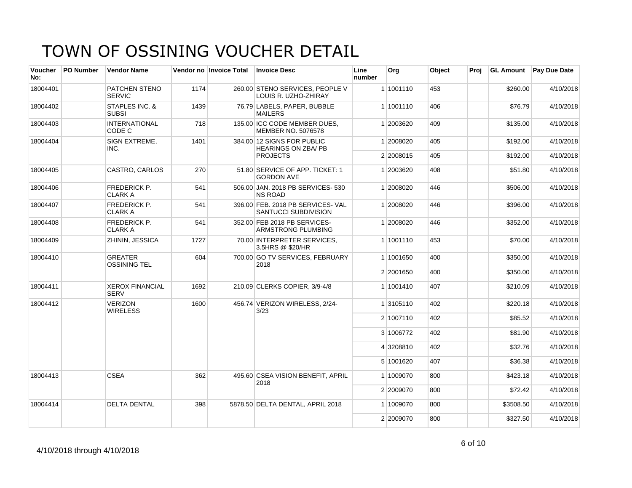| <b>Voucher</b><br>No: | <b>PO Number</b> | <b>Vendor Name</b>                    |      | Vendor no Invoice Total | <b>Invoice Desc</b>                                       | Line<br>number | Org       | Object | Proj | <b>GL Amount</b> | <b>Pay Due Date</b> |
|-----------------------|------------------|---------------------------------------|------|-------------------------|-----------------------------------------------------------|----------------|-----------|--------|------|------------------|---------------------|
| 18004401              |                  | PATCHEN STENO<br><b>SERVIC</b>        | 1174 |                         | 260.00 STENO SERVICES, PEOPLE V<br>LOUIS R. UZHO-ZHIRAY   |                | 1 1001110 | 453    |      | \$260.00         | 4/10/2018           |
| 18004402              |                  | STAPLES INC. &<br><b>SUBSI</b>        | 1439 |                         | 76.79 LABELS, PAPER, BUBBLE<br><b>MAILERS</b>             |                | 1 1001110 | 406    |      | \$76.79          | 4/10/2018           |
| 18004403              |                  | <b>INTERNATIONAL</b><br>CODE C        | 718  |                         | 135.00 ICC CODE MEMBER DUES,<br>MEMBER NO. 5076578        |                | 1 2003620 | 409    |      | \$135.00         | 4/10/2018           |
| 18004404              |                  | SIGN EXTREME,<br>INC.                 | 1401 |                         | 384.00 12 SIGNS FOR PUBLIC<br><b>HEARINGS ON ZBA/ PB</b>  |                | 1 2008020 | 405    |      | \$192.00         | 4/10/2018           |
|                       |                  |                                       |      |                         | <b>PROJECTS</b>                                           |                | 2 2008015 | 405    |      | \$192.00         | 4/10/2018           |
| 18004405              |                  | CASTRO, CARLOS                        | 270  |                         | 51.80 SERVICE OF APP. TICKET: 1<br><b>GORDON AVE</b>      |                | 1 2003620 | 408    |      | \$51.80          | 4/10/2018           |
| 18004406              |                  | <b>FREDERICK P.</b><br><b>CLARK A</b> | 541  |                         | 506.00 JAN. 2018 PB SERVICES- 530<br><b>NS ROAD</b>       |                | 1 2008020 | 446    |      | \$506.00         | 4/10/2018           |
| 18004407              |                  | <b>FREDERICK P.</b><br><b>CLARK A</b> | 541  |                         | 396.00 FEB. 2018 PB SERVICES- VAL<br>SANTUCCI SUBDIVISION |                | 1 2008020 | 446    |      | \$396.00         | 4/10/2018           |
| 18004408              |                  | <b>FREDERICK P.</b><br><b>CLARK A</b> | 541  |                         | 352.00 FEB 2018 PB SERVICES-<br><b>ARMSTRONG PLUMBING</b> |                | 1 2008020 | 446    |      | \$352.00         | 4/10/2018           |
| 18004409              |                  | ZHININ, JESSICA                       | 1727 |                         | 70.00 INTERPRETER SERVICES.<br>3.5HRS @ \$20/HR           |                | 1 1001110 | 453    |      | \$70.00          | 4/10/2018           |
| 18004410              |                  | <b>GREATER</b><br><b>OSSINING TEL</b> | 604  |                         | 700.00 GO TV SERVICES, FEBRUARY<br>2018                   |                | 1 1001650 | 400    |      | \$350.00         | 4/10/2018           |
|                       |                  |                                       |      |                         |                                                           |                | 2 2001650 | 400    |      | \$350.00         | 4/10/2018           |
| 18004411              |                  | <b>XEROX FINANCIAL</b><br><b>SERV</b> | 1692 |                         | 210.09 CLERKS COPIER, 3/9-4/8                             |                | 1 1001410 | 407    |      | \$210.09         | 4/10/2018           |
| 18004412              |                  | <b>VERIZON</b><br><b>WIRELESS</b>     | 1600 |                         | 456.74 VERIZON WIRELESS, 2/24-<br>3/23                    |                | 1 3105110 | 402    |      | \$220.18         | 4/10/2018           |
|                       |                  |                                       |      |                         |                                                           |                | 2 1007110 | 402    |      | \$85.52          | 4/10/2018           |
|                       |                  |                                       |      |                         |                                                           |                | 3 1006772 | 402    |      | \$81.90          | 4/10/2018           |
|                       |                  |                                       |      |                         |                                                           |                | 4 3208810 | 402    |      | \$32.76          | 4/10/2018           |
|                       |                  |                                       |      |                         |                                                           |                | 5 1001620 | 407    |      | \$36.38          | 4/10/2018           |
| 18004413              |                  | <b>CSEA</b>                           | 362  |                         | 495.60 CSEA VISION BENEFIT, APRIL<br>2018                 |                | 1 1009070 | 800    |      | \$423.18         | 4/10/2018           |
|                       |                  |                                       |      |                         |                                                           |                | 2 2009070 | 800    |      | \$72.42          | 4/10/2018           |
| 18004414              |                  | <b>DELTA DENTAL</b>                   | 398  |                         | 5878.50 DELTA DENTAL, APRIL 2018                          |                | 1 1009070 | 800    |      | \$3508.50        | 4/10/2018           |
|                       |                  |                                       |      |                         |                                                           |                | 2 2009070 | 800    |      | \$327.50         | 4/10/2018           |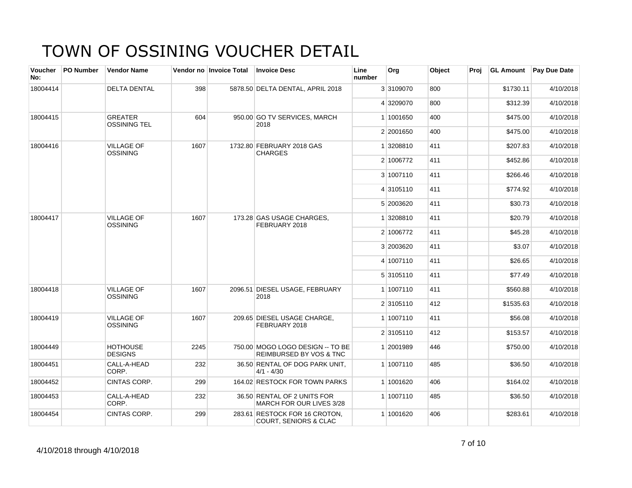| <b>Voucher</b><br>No: | PO Number | <b>Vendor Name</b>                    |      | Vendor no Invoice Total | <b>Invoice Desc</b>                                                    | Line<br>number | Org       | Object | Proj | <b>GL Amount</b> | <b>Pay Due Date</b> |
|-----------------------|-----------|---------------------------------------|------|-------------------------|------------------------------------------------------------------------|----------------|-----------|--------|------|------------------|---------------------|
| 18004414              |           | <b>DELTA DENTAL</b>                   | 398  |                         | 5878.50 DELTA DENTAL, APRIL 2018                                       |                | 3 3109070 | 800    |      | \$1730.11        | 4/10/2018           |
|                       |           |                                       |      |                         |                                                                        |                | 4 3209070 | 800    |      | \$312.39         | 4/10/2018           |
| 18004415              |           | <b>GREATER</b><br><b>OSSINING TEL</b> | 604  |                         | 950.00 GO TV SERVICES, MARCH<br>2018                                   |                | 1 1001650 | 400    |      | \$475.00         | 4/10/2018           |
|                       |           |                                       |      |                         |                                                                        |                | 2 2001650 | 400    |      | \$475.00         | 4/10/2018           |
| 18004416              |           | <b>VILLAGE OF</b><br><b>OSSINING</b>  | 1607 |                         | 1732.80 FEBRUARY 2018 GAS<br><b>CHARGES</b>                            |                | 1 3208810 | 411    |      | \$207.83         | 4/10/2018           |
|                       |           |                                       |      |                         |                                                                        |                | 2 1006772 | 411    |      | \$452.86         | 4/10/2018           |
|                       |           |                                       |      |                         |                                                                        |                | 3 1007110 | 411    |      | \$266.46         | 4/10/2018           |
|                       |           |                                       |      |                         |                                                                        |                | 4 3105110 | 411    |      | \$774.92         | 4/10/2018           |
|                       |           |                                       |      |                         |                                                                        |                | 5 2003620 | 411    |      | \$30.73          | 4/10/2018           |
| 18004417              |           | <b>VILLAGE OF</b><br><b>OSSINING</b>  | 1607 |                         | 173.28 GAS USAGE CHARGES,<br>FEBRUARY 2018                             |                | 1 3208810 | 411    |      | \$20.79          | 4/10/2018           |
|                       |           |                                       |      |                         |                                                                        |                | 2 1006772 | 411    |      | \$45.28          | 4/10/2018           |
|                       |           |                                       |      |                         |                                                                        |                | 3 2003620 | 411    |      | \$3.07           | 4/10/2018           |
|                       |           |                                       |      |                         |                                                                        |                | 4 1007110 | 411    |      | \$26.65          | 4/10/2018           |
|                       |           |                                       |      |                         |                                                                        |                | 5 3105110 | 411    |      | \$77.49          | 4/10/2018           |
| 18004418              |           | <b>VILLAGE OF</b><br><b>OSSINING</b>  | 1607 |                         | 2096.51 DIESEL USAGE, FEBRUARY<br>2018                                 |                | 1 1007110 | 411    |      | \$560.88         | 4/10/2018           |
|                       |           |                                       |      |                         |                                                                        |                | 2 3105110 | 412    |      | \$1535.63        | 4/10/2018           |
| 18004419              |           | <b>VILLAGE OF</b><br><b>OSSINING</b>  | 1607 |                         | 209.65 DIESEL USAGE CHARGE,<br>FEBRUARY 2018                           |                | 1 1007110 | 411    |      | \$56.08          | 4/10/2018           |
|                       |           |                                       |      |                         |                                                                        |                | 2 3105110 | 412    |      | \$153.57         | 4/10/2018           |
| 18004449              |           | <b>HOTHOUSE</b><br><b>DESIGNS</b>     | 2245 |                         | 750.00 MOGO LOGO DESIGN -- TO BE<br><b>REIMBURSED BY VOS &amp; TNC</b> |                | 1 2001989 | 446    |      | \$750.00         | 4/10/2018           |
| 18004451              |           | CALL-A-HEAD<br>CORP.                  | 232  |                         | 36.50 RENTAL OF DOG PARK UNIT,<br>$4/1 - 4/30$                         |                | 1 1007110 | 485    |      | \$36.50          | 4/10/2018           |
| 18004452              |           | CINTAS CORP.                          | 299  |                         | 164.02 RESTOCK FOR TOWN PARKS                                          |                | 1 1001620 | 406    |      | \$164.02         | 4/10/2018           |
| 18004453              |           | CALL-A-HEAD<br>CORP.                  | 232  |                         | 36.50 RENTAL OF 2 UNITS FOR<br>MARCH FOR OUR LIVES 3/28                |                | 1 1007110 | 485    |      | \$36.50          | 4/10/2018           |
| 18004454              |           | CINTAS CORP.                          | 299  |                         | 283.61 RESTOCK FOR 16 CROTON,<br><b>COURT, SENIORS &amp; CLAC</b>      |                | 1 1001620 | 406    |      | \$283.61         | 4/10/2018           |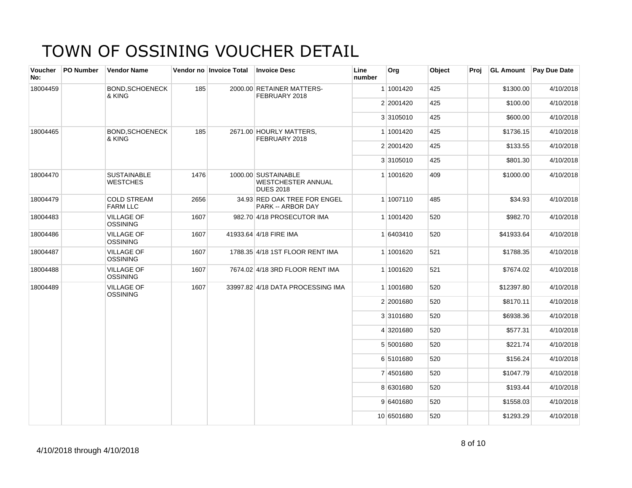| Voucher<br>No: | PO Number | <b>Vendor Name</b>                    |      | Vendor no Invoice Total | <b>Invoice Desc</b>                                                  | Line<br>number | Org        | Object | Proj |            | GL Amount Pay Due Date |
|----------------|-----------|---------------------------------------|------|-------------------------|----------------------------------------------------------------------|----------------|------------|--------|------|------------|------------------------|
| 18004459       |           | <b>BOND, SCHOENECK</b><br>& KING      | 185  |                         | 2000.00 RETAINER MATTERS-<br>FEBRUARY 2018                           |                | 1 1001420  | 425    |      | \$1300.00  | 4/10/2018              |
|                |           |                                       |      |                         |                                                                      |                | 2 2001420  | 425    |      | \$100.00   | 4/10/2018              |
|                |           |                                       |      |                         |                                                                      |                | 3 3105010  | 425    |      | \$600.00   | 4/10/2018              |
| 18004465       |           | <b>BOND, SCHOENECK</b><br>& KING      | 185  |                         | 2671.00 HOURLY MATTERS,<br>FEBRUARY 2018                             |                | 1 1001420  | 425    |      | \$1736.15  | 4/10/2018              |
|                |           |                                       |      |                         |                                                                      |                | 2 2001420  | 425    |      | \$133.55   | 4/10/2018              |
|                |           |                                       |      |                         |                                                                      |                | 3 3105010  | 425    |      | \$801.30   | 4/10/2018              |
| 18004470       |           | <b>SUSTAINABLE</b><br><b>WESTCHES</b> | 1476 |                         | 1000.00 SUSTAINABLE<br><b>WESTCHESTER ANNUAL</b><br><b>DUES 2018</b> |                | 1 1001620  | 409    |      | \$1000.00  | 4/10/2018              |
| 18004479       |           | <b>COLD STREAM</b><br><b>FARM LLC</b> | 2656 |                         | 34.93 RED OAK TREE FOR ENGEL<br>PARK -- ARBOR DAY                    |                | 1 1007110  | 485    |      | \$34.93    | 4/10/2018              |
| 18004483       |           | <b>VILLAGE OF</b><br><b>OSSINING</b>  | 1607 |                         | 982.70 4/18 PROSECUTOR IMA                                           |                | 1 1001420  | 520    |      | \$982.70   | 4/10/2018              |
| 18004486       |           | <b>VILLAGE OF</b><br><b>OSSINING</b>  | 1607 |                         | 41933.64 4/18 FIRE IMA                                               |                | 1 6403410  | 520    |      | \$41933.64 | 4/10/2018              |
| 18004487       |           | <b>VILLAGE OF</b><br><b>OSSINING</b>  | 1607 |                         | 1788.35 4/18 1ST FLOOR RENT IMA                                      |                | 1 1001620  | 521    |      | \$1788.35  | 4/10/2018              |
| 18004488       |           | <b>VILLAGE OF</b><br><b>OSSINING</b>  | 1607 |                         | 7674.02 4/18 3RD FLOOR RENT IMA                                      |                | 1 1001620  | 521    |      | \$7674.02  | 4/10/2018              |
| 18004489       |           | <b>VILLAGE OF</b><br><b>OSSINING</b>  | 1607 |                         | 33997.82 4/18 DATA PROCESSING IMA                                    |                | 1 1001680  | 520    |      | \$12397.80 | 4/10/2018              |
|                |           |                                       |      |                         |                                                                      |                | 2 2001680  | 520    |      | \$8170.11  | 4/10/2018              |
|                |           |                                       |      |                         |                                                                      |                | 3 3101680  | 520    |      | \$6938.36  | 4/10/2018              |
|                |           |                                       |      |                         |                                                                      |                | 4 3201680  | 520    |      | \$577.31   | 4/10/2018              |
|                |           |                                       |      |                         |                                                                      |                | 5 5001680  | 520    |      | \$221.74   | 4/10/2018              |
|                |           |                                       |      |                         |                                                                      |                | 6 5101680  | 520    |      | \$156.24   | 4/10/2018              |
|                |           |                                       |      |                         |                                                                      |                | 7 4501680  | 520    |      | \$1047.79  | 4/10/2018              |
|                |           |                                       |      |                         |                                                                      |                | 8 6301680  | 520    |      | \$193.44   | 4/10/2018              |
|                |           |                                       |      |                         |                                                                      |                | 9 6401680  | 520    |      | \$1558.03  | 4/10/2018              |
|                |           |                                       |      |                         |                                                                      |                | 10 6501680 | 520    |      | \$1293.29  | 4/10/2018              |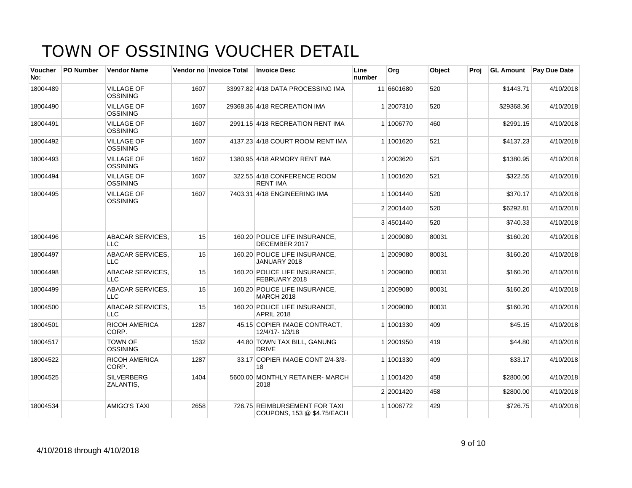| Voucher<br>No: | <b>PO Number</b> | <b>Vendor Name</b>                    |      | Vendor no Invoice Total | <b>Invoice Desc</b>                                         | Line<br>number | <b>Org</b> | Object | Proi | <b>GL Amount</b> | <b>Pay Due Date</b> |
|----------------|------------------|---------------------------------------|------|-------------------------|-------------------------------------------------------------|----------------|------------|--------|------|------------------|---------------------|
| 18004489       |                  | <b>VILLAGE OF</b><br><b>OSSINING</b>  | 1607 |                         | 33997.82 4/18 DATA PROCESSING IMA                           |                | 11 6601680 | 520    |      | \$1443.71        | 4/10/2018           |
| 18004490       |                  | <b>VILLAGE OF</b><br><b>OSSINING</b>  | 1607 |                         | 29368.36 4/18 RECREATION IMA                                |                | 1 2007310  | 520    |      | \$29368.36       | 4/10/2018           |
| 18004491       |                  | <b>VILLAGE OF</b><br><b>OSSINING</b>  | 1607 |                         | 2991.15 4/18 RECREATION RENT IMA                            |                | 1 1006770  | 460    |      | \$2991.15        | 4/10/2018           |
| 18004492       |                  | <b>VILLAGE OF</b><br><b>OSSINING</b>  | 1607 |                         | 4137.23 4/18 COURT ROOM RENT IMA                            |                | 1 1001620  | 521    |      | \$4137.23        | 4/10/2018           |
| 18004493       |                  | <b>VILLAGE OF</b><br><b>OSSINING</b>  | 1607 |                         | 1380.95 4/18 ARMORY RENT IMA                                |                | 1 2003620  | 521    |      | \$1380.95        | 4/10/2018           |
| 18004494       |                  | <b>VILLAGE OF</b><br><b>OSSINING</b>  | 1607 |                         | 322.55 4/18 CONFERENCE ROOM<br><b>RENT IMA</b>              |                | 1 1001620  | 521    |      | \$322.55         | 4/10/2018           |
| 18004495       |                  | <b>VILLAGE OF</b><br><b>OSSINING</b>  | 1607 |                         | 7403.31 4/18 ENGINEERING IMA                                |                | 1 1001440  | 520    |      | \$370.17         | 4/10/2018           |
|                |                  |                                       |      |                         |                                                             |                | 2 2001440  | 520    |      | \$6292.81        | 4/10/2018           |
|                |                  |                                       |      |                         |                                                             |                | 3 4501440  | 520    |      | \$740.33         | 4/10/2018           |
| 18004496       |                  | ABACAR SERVICES.<br><b>LLC</b>        | 15   |                         | 160.20 POLICE LIFE INSURANCE,<br>DECEMBER 2017              |                | 1 2009080  | 80031  |      | \$160.20         | 4/10/2018           |
| 18004497       |                  | <b>ABACAR SERVICES.</b><br><b>LLC</b> | 15   |                         | 160.20 POLICE LIFE INSURANCE,<br>JANUARY 2018               |                | 1 2009080  | 80031  |      | \$160.20         | 4/10/2018           |
| 18004498       |                  | <b>ABACAR SERVICES,</b><br><b>LLC</b> | 15   |                         | 160.20 POLICE LIFE INSURANCE,<br>FEBRUARY 2018              |                | 1 2009080  | 80031  |      | \$160.20         | 4/10/2018           |
| 18004499       |                  | ABACAR SERVICES,<br><b>LLC</b>        | 15   |                         | 160.20 POLICE LIFE INSURANCE,<br><b>MARCH 2018</b>          |                | 1 2009080  | 80031  |      | \$160.20         | 4/10/2018           |
| 18004500       |                  | <b>ABACAR SERVICES,</b><br>$\sqcup$ C | 15   |                         | 160.20 POLICE LIFE INSURANCE,<br><b>APRIL 2018</b>          |                | 1 2009080  | 80031  |      | \$160.20         | 4/10/2018           |
| 18004501       |                  | <b>RICOH AMERICA</b><br>CORP.         | 1287 |                         | 45.15 COPIER IMAGE CONTRACT.<br>12/4/17-1/3/18              |                | 1 1001330  | 409    |      | \$45.15          | 4/10/2018           |
| 18004517       |                  | <b>TOWN OF</b><br><b>OSSINING</b>     | 1532 |                         | 44.80 TOWN TAX BILL, GANUNG<br><b>DRIVE</b>                 |                | 1 2001950  | 419    |      | \$44.80          | 4/10/2018           |
| 18004522       |                  | RICOH AMERICA<br>CORP.                | 1287 |                         | 33.17 COPIER IMAGE CONT 2/4-3/3-<br>18                      |                | 1 1001330  | 409    |      | \$33.17          | 4/10/2018           |
| 18004525       |                  | <b>SILVERBERG</b><br>ZALANTIS,        | 1404 |                         | 5600.00 MONTHLY RETAINER-MARCH<br>2018                      |                | 1 1001420  | 458    |      | \$2800.00        | 4/10/2018           |
|                |                  |                                       |      |                         |                                                             |                | 2 2001420  | 458    |      | \$2800.00        | 4/10/2018           |
| 18004534       |                  | <b>AMIGO'S TAXI</b>                   | 2658 |                         | 726.75 REIMBURSEMENT FOR TAXI<br>COUPONS, 153 @ \$4.75/EACH |                | 1 1006772  | 429    |      | \$726.75         | 4/10/2018           |